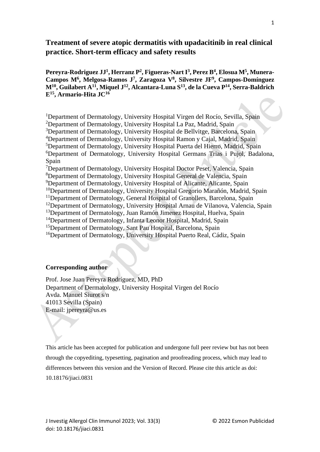# **Treatment of severe atopic dermatitis with upadacitinib in real clinical practice. Short-term efficacy and safety results**

**Pereyra-Rodriguez JJ<sup>1</sup> , Herranz P 2 , Figueras-Nart I 3 , Perez B<sup>4</sup> , Elosua M<sup>5</sup> , Munera-Campos M<sup>6</sup> , Melgosa-Ramos J 7 , Zaragoza V<sup>8</sup> , Silvestre JF<sup>9</sup> , Campos-Domínguez M<sup>10</sup> , Guilabert A<sup>11</sup> , Miquel J 12 , Alcantara-Luna S 13 , de la Cueva P 14 , Serra-Baldrich E<sup>15</sup> , Armario-Hita JC<sup>16</sup>**

<sup>1</sup>Department of Dermatology, University Hospital Virgen del Rocío, Sevilla, Spain

<sup>2</sup>Department of Dermatology, University Hospital La Paz, Madrid, Spain

<sup>3</sup>Department of Dermatology, University Hospital de Bellvitge, Barcelona, Spain

<sup>4</sup>Department of Dermatology, University Hospital Ramon y Cajal, Madrid, Spain

<sup>5</sup>Department of Dermatology, University Hospital Puerta del Hierro, Madrid, Spain

<sup>6</sup>Department of Dermatology, University Hospital Germans Trias i Pujol, Badalona, Spain

<sup>7</sup>Department of Dermatology, University Hospital Doctor Peset, Valencia, Spain

<sup>8</sup>Department of Dermatology, University Hospital General de Valencia, Spain

<sup>9</sup>Department of Dermatology, University Hospital of Alicante, Alicante, Spain

<sup>10</sup>Department of Dermatology, University Hospital Gregorio Marañón, Madrid, Spain

<sup>11</sup>Department of Dermatology, General Hospital of Granollers, Barcelona, Spain

<sup>12</sup>Department of Dermatology, University Hospital Arnau de Vilanova, Valencia, Spain

<sup>13</sup>Department of Dermatology, Juan Ramón Jimenez Hospital, Huelva, Spain

<sup>14</sup>Department of Dermatology, Infanta Leonor Hospital, Madrid, Spain

<sup>15</sup>Department of Dermatology, Sant Pau Hospital, Barcelona, Spain

<sup>16</sup>Department of Dermatology, University Hospital Puerto Real, Cádiz, Spain

## **Corresponding author**

Prof. Jose Juan Pereyra Rodríguez, MD, PhD Department of Dermatology, University Hospital Virgen del Rocío Avda. Manuel Siurot s/n 41013 Sevilla (Spain) E-mail: jpereyra@us.es

This article has been accepted for publication and undergone full peer review but has not been through the copyediting, typesetting, pagination and proofreading process, which may lead to differences between this version and the Version of Record. Please cite this article as doi: 10.18176/jiaci.0831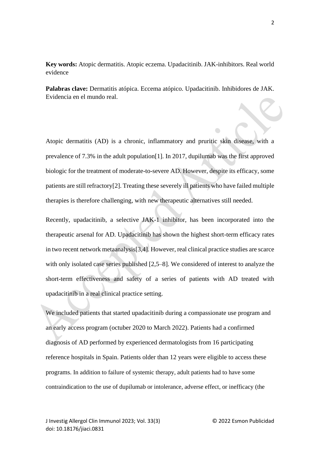# **Key words:** Atopic dermatitis. Atopic eczema. Upadacitinib. JAK-inhibitors. Real world evidence

**Palabras clave:** Dermatitis atópica. Eccema atópico. Upadacitinib. Inhibidores de JAK. Evidencia en el mundo real.

Atopic dermatitis (AD) is a chronic, inflammatory and pruritic skin disease, with a prevalence of 7.3% in the adult population[1]. In 2017, dupilumab was the first approved biologic for the treatment of moderate-to-severe AD. However, despite its efficacy, some patients are still refractory[2]. Treating these severely ill patients who have failed multiple therapies is therefore challenging, with new therapeutic alternatives still needed.

Recently, upadacitinib, a selective JAK-1 inhibitor, has been incorporated into the therapeutic arsenal for AD. Upadacitinib has shown the highest short-term efficacy rates in two recent network metaanalysis[3,4]. However, real clinical practice studies are scarce with only isolated case series published [2,5–8]. We considered of interest to analyze the short-term effectiveness and safety of a series of patients with AD treated with upadacitinib in a real clinical practice setting.

We included patients that started upadacitinib during a compassionate use program and an early access program (octuber 2020 to March 2022). Patients had a confirmed diagnosis of AD performed by experienced dermatologists from 16 participating reference hospitals in Spain. Patients older than 12 years were eligible to access these programs. In addition to failure of systemic therapy, adult patients had to have some contraindication to the use of dupilumab or intolerance, adverse effect, or inefficacy (the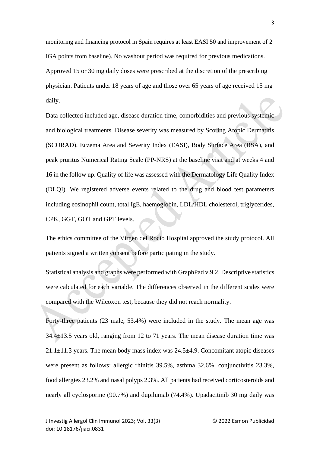monitoring and financing protocol in Spain requires at least EASI 50 and improvement of 2 IGA points from baseline). No washout period was required for previous medications. Approved 15 or 30 mg daily doses were prescribed at the discretion of the prescribing physician. Patients under 18 years of age and those over 65 years of age received 15 mg daily.

Data collected included age, disease duration time, comorbidities and previous systemic and biological treatments. Disease severity was measured by Scoring Atopic Dermatitis (SCORAD), Eczema Area and Severity Index (EASI), Body Surface Area (BSA), and peak pruritus Numerical Rating Scale (PP-NRS) at the baseline visit and at weeks 4 and 16 in the follow up. Quality of life was assessed with the Dermatology Life Quality Index (DLQI). We registered adverse events related to the drug and blood test parameters including eosinophil count, total IgE, haemoglobin, LDL/HDL cholesterol, triglycerides, CPK, GGT, GOT and GPT levels.

The ethics committee of the Virgen del Rocio Hospital approved the study protocol. All patients signed a written consent before participating in the study.

Statistical analysis and graphs were performed with GraphPad v.9.2. Descriptive statistics were calculated for each variable. The differences observed in the different scales were compared with the Wilcoxon test, because they did not reach normality.

Forty-three patients (23 male, 53.4%) were included in the study. The mean age was 34.4±13.5 years old, ranging from 12 to 71 years. The mean disease duration time was  $21.1\pm11.3$  years. The mean body mass index was  $24.5\pm4.9$ . Concomitant atopic diseases were present as follows: allergic rhinitis 39.5%, asthma 32.6%, conjunctivitis 23.3%, food allergies 23.2% and nasal polyps 2.3%. All patients had received corticosteroids and nearly all cyclosporine (90.7%) and dupilumab (74.4%). Upadacitinib 30 mg daily was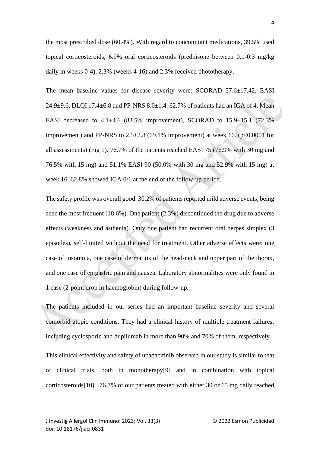the most prescribed dose (60.4%). With regard to concomitant medications, 39.5% used topical corticosteroids, 6.9% oral corticosteroids (prednisone between 0.1-0.3 mg/kg daily in weeks 0-4), 2.3% (weeks 4-16) and 2.3% received phototherapy.

The mean baseline values for disease severity were: SCORAD 57.6±17.42, EASI 24.9 $\pm$ 9.6, DLOI 17.4 $\pm$ 6.8 and PP-NRS 8.0 $\pm$ 1.4, 62.7% of patients had an IGA of 4. Mean EASI decreased to  $4.1\pm4.6$  (83.5% improvement), SCORAD to  $15.9\pm15.1$  (72.3%) improvement) and PP-NRS to  $2.5\pm2.8$  (69.1% improvement) at week 16. (p<0.0001 for all assessments) (Fig 1). 76.7% of the patients reached EASI 75 (76.9% with 30 mg and 76.5% with 15 mg) and 51.1% EASI 90 (50.0% with 30 mg and 52.9% with 15 mg) at week 16. 62.8% showed IGA 0/1 at the end of the follow-up period.

The safety profile was overall good. 30.2% of patients reported mild adverse events, being acne the most frequent (18.6%). One patient (2.3%) discontinued the drug due to adverse effects (weakness and asthenia). Only one patient had recurrent oral herpes simplex (3 episodes), self-limited without the need for treatment. Other adverse effects were: one case of insomnia, one case of dermatitis of the head-neck and upper part of the thorax, and one case of epigastric pain and nausea. Laboratory abnormalities were only found in 1 case (2-point drop in haemoglobin) during follow-up.

The patients included in our series had an important baseline severity and several comorbid atopic conditions. They had a clinical history of multiple treatment failures, including cyclosporin and dupilumab in more than 90% and 70% of them, respectively.

This clinical effectivity and safety of upadacitinib observed in our study is similar to that of clinical trials, both in monotherapy[9] and in combination with topical corticosteroids[10]. 76.7% of our patients treated with either 30 or 15 mg daily reached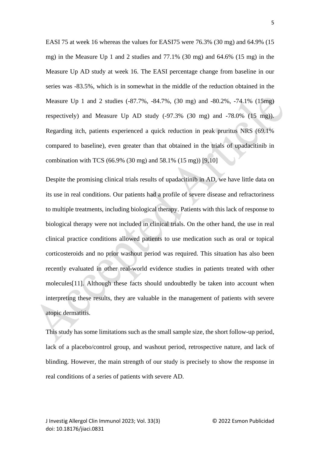EASI 75 at week 16 whereas the values for EASI75 were 76.3% (30 mg) and 64.9% (15 mg) in the Measure Up 1 and 2 studies and 77.1% (30 mg) and 64.6% (15 mg) in the Measure Up AD study at week 16. The EASI percentage change from baseline in our series was -83.5%, which is in somewhat in the middle of the reduction obtained in the Measure Up 1 and 2 studies (-87.7%, -84.7%, (30 mg) and -80.2%, -74.1% (15mg) respectively) and Measure Up AD study (-97.3% (30 mg) and -78.0% (15 mg)). Regarding itch, patients experienced a quick reduction in peak pruritus NRS (69.1% compared to baseline), even greater than that obtained in the trials of upadacitinib in combination with TCS (66.9% (30 mg) and 58.1% (15 mg)) [9,10]

Despite the promising clinical trials results of upadacitinib in AD, we have little data on its use in real conditions. Our patients had a profile of severe disease and refractoriness to multiple treatments, including biological therapy. Patients with this lack of response to biological therapy were not included in clinical trials. On the other hand, the use in real clinical practice conditions allowed patients to use medication such as oral or topical corticosteroids and no prior washout period was required. This situation has also been recently evaluated in other real-world evidence studies in patients treated with other molecules[11]. Although these facts should undoubtedly be taken into account when interpreting these results, they are valuable in the management of patients with severe atopic dermatitis.

This study has some limitations such as the small sample size, the short follow-up period, lack of a placebo/control group, and washout period, retrospective nature, and lack of blinding. However, the main strength of our study is precisely to show the response in real conditions of a series of patients with severe AD.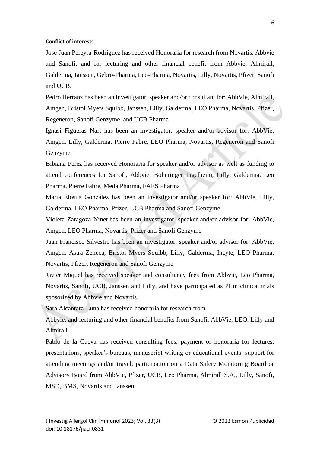#### **Conflict of interests**

Jose Juan Pereyra-Rodriguez has received Honoraria for research from Novartis, Abbvie and Sanofi, and for lecturing and other financial benefit from Abbvie, Almirall, Galderma, Janssen, Gebro-Pharma, Leo-Pharma, Novartis, Lilly, Novartis, Pfizer, Sanofi and UCB.

Pedro Herranz has been an investigator, speaker and/or consultant for: AbbVie, Almirall, Amgen, Bristol Myers Squibb, Janssen, Lilly, Galderma, LEO Pharma, Novartis, Pfizer, Regeneron, Sanofi Genzyme, and UCB Pharma

Ignasi Figueras Nart has been an investigator, speaker and/or advisor for: AbbVie, Amgen, Lilly, Galderma, Pierre Fabre, LEO Pharma, Novartis, Regeneron and Sanofi Genzyme.

Bibiana Perez has received Honoraria for speaker and/or advisor as well as funding to attend conferences for Sanofi, Abbvie, Boheringer Ingelheim, Lilly, Galderma, Leo Pharma, Pierre Fabre, Meda Pharma, FAES Pharma

Marta Elosua González has been an investigator and/or speaker for: AbbVie, Lilly, Galderma, LEO Pharma, Pfizer, UCB Pharma and Sanofi Genzyme

Violeta Zaragoza Ninet has been an investigator, speaker and/or advisor for: AbbVie, Amgen, LEO Pharma, Novartis, Pfizer and Sanofi Genzyme

Juan Francisco Silvestre has been an investigator, speaker and/or advisor for: AbbVie, Amgen, Astra Zeneca, Bristol Myers Squibb, Lilly, Galderma, Incyte, LEO Pharma, Novartis, Pfizer, Regeneron and Sanofi Genzyme

Javier Miquel has received speaker and consultancy fees from Abbvie, Leo Pharma, Novartis, Sanofi, UCB, Janssen and Lilly, and have participated as PI in clinical trials sposorized by Abbvie and Novartis.

Sara Alcantara-Luna has received honoraria for research from

Abbvie, and lecturing and other financial benefits from Sanofi, AbbVie, LEO, Lilly and Almirall

Pablo de la Cueva has received consulting fees; payment or honoraria for lectures, presentations, speaker's bureaus, manuscript writing or educational events; support for attending meetings and/or travel; participation on a Data Safety Monitoring Board or Advisory Board from AbbVie, Pfizer, UCB, Leo Pharma, Almirall S.A., Lilly, Sanofi, MSD, BMS, Novartis and Janssen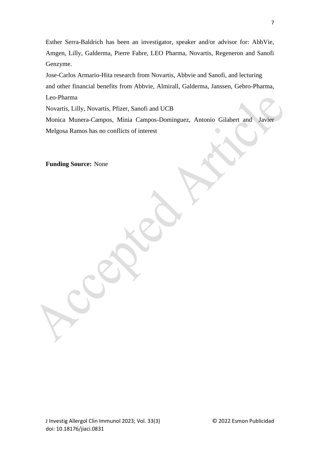Esther Serra-Baldrich has been an investigator, speaker and/or advisor for: AbbVie, Amgen, Lilly, Galderma, Pierre Fabre, LEO Pharma, Novartis, Regeneron and Sanofi Genzyme.

Jose-Carlos Armario-Hita research from Novartis, Abbvie and Sanofi, and lecturing and other financial benefits from Abbvie, Almirall, Galderma, Janssen, Gebro-Pharma, Leo-Pharma

Novartis, Lilly, Novartis, Pfizer, Sanofi and UCB

Monica Munera-Campos, Minia Campos-Dominguez, Antonio Gilabert and Javier Melgosa Ramos has no conflicts of interest

**Funding Source:** None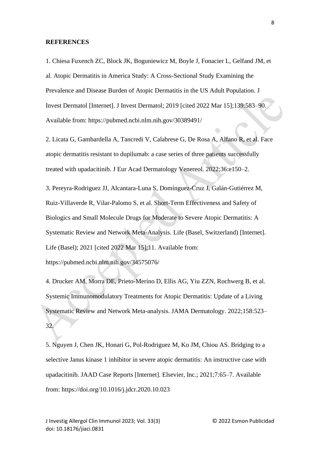#### **REFERENCES**

1. Chiesa Fuxench ZC, Block JK, Boguniewicz M, Boyle J, Fonacier L, Gelfand JM, et al. Atopic Dermatitis in America Study: A Cross-Sectional Study Examining the Prevalence and Disease Burden of Atopic Dermatitis in the US Adult Population. J Invest Dermatol [Internet]. J Invest Dermatol; 2019 [cited 2022 Mar 15];139:583–90. Available from: https://pubmed.ncbi.nlm.nih.gov/30389491/

2. Licata G, Gambardella A, Tancredi V, Calabrese G, De Rosa A, Alfano R, et al. Face atopic dermatitis resistant to dupilumab: a case series of three patients successfully treated with upadacitinib. J Eur Acad Dermatology Venereol. 2022;36:e150–2.

3. Pereyra-Rodriguez JJ, Alcantara-Luna S, Domínguez-Cruz J, Galán-Gutiérrez M, Ruiz-Villaverde R, Vilar-Palomo S, et al. Short-Term Effectiveness and Safety of Biologics and Small Molecule Drugs for Moderate to Severe Atopic Dermatitis: A Systematic Review and Network Meta-Analysis. Life (Basel, Switzerland) [Internet]. Life (Basel); 2021 [cited 2022 Mar 15];11. Available from:

https://pubmed.ncbi.nlm.nih.gov/34575076/

4. Drucker AM, Morra DE, Prieto-Merino D, Ellis AG, Yiu ZZN, Rochwerg B, et al. Systemic Immunomodulatory Treatments for Atopic Dermatitis: Update of a Living Systematic Review and Network Meta-analysis. JAMA Dermatology. 2022;158:523– 32.

5. Nguyen J, Chen JK, Honari G, Pol-Rodriguez M, Ko JM, Chiou AS. Bridging to a selective Janus kinase 1 inhibitor in severe atopic dermatitis: An instructive case with upadacitinib. JAAD Case Reports [Internet]. Elsevier, Inc.; 2021;7:65–7. Available from: https://doi.org/10.1016/j.jdcr.2020.10.023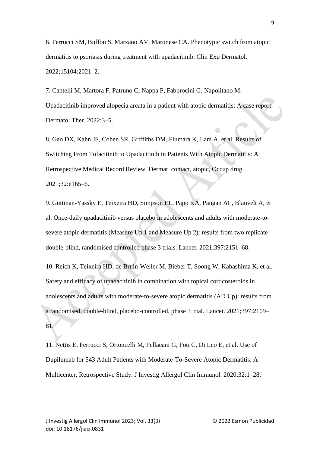6. Ferrucci SM, Buffon S, Marzano AV, Maronese CA. Phenotypic switch from atopic dermatitis to psoriasis during treatment with upadacitinib. Clin Exp Dermatol. 2022;15104:2021–2.

7. Cantelli M, Martora F, Patruno C, Nappa P, Fabbrocini G, Napolitano M. Upadacitinib improved alopecia areata in a patient with atopic dermatitis: A case report. Dermatol Ther. 2022;3–5.

8. Gao DX, Kahn JS, Cohen SR, Griffiths DM, Fiumara K, Lam A, et al. Results of Switching From Tofacitinib to Upadacitinib in Patients With Atopic Dermatitis: A Retrospective Medical Record Review. Dermat contact, atopic, Occup drug. 2021;32:e165–6.

9. Guttman-Yassky E, Teixeira HD, Simpson EL, Papp KA, Pangan AL, Blauvelt A, et al. Once-daily upadacitinib versus placebo in adolescents and adults with moderate-tosevere atopic dermatitis (Measure Up 1 and Measure Up 2): results from two replicate double-blind, randomised controlled phase 3 trials. Lancet. 2021;397:2151–68.

10. Reich K, Teixeira HD, de Bruin-Weller M, Bieber T, Soong W, Kabashima K, et al. Safety and efficacy of upadacitinib in combination with topical corticosteroids in adolescents and adults with moderate-to-severe atopic dermatitis (AD Up): results from a randomised, double-blind, placebo-controlled, phase 3 trial. Lancet. 2021;397:2169– 81.

11. Nettis E, Ferrucci S, Ortoncelli M, Pellacani G, Foti C, Di Leo E, et al. Use of Dupilumab for 543 Adult Patients with Moderate-To-Severe Atopic Dermatitis: A Multicenter, Retrospective Study. J Investig Allergol Clin Immunol. 2020;32:1–28.